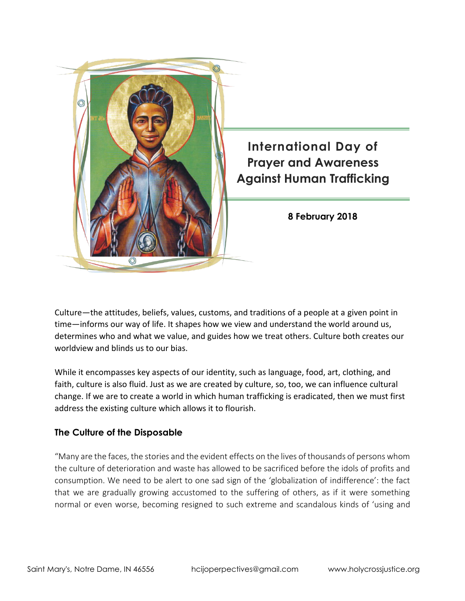

Culture—the attitudes, beliefs, values, customs, and traditions of a people at a given point in time—informs our way of life. It shapes how we view and understand the world around us, determines who and what we value, and guides how we treat others. Culture both creates our worldview and blinds us to our bias.

While it encompasses key aspects of our identity, such as language, food, art, clothing, and faith, culture is also fluid. Just as we are created by culture, so, too, we can influence cultural change. If we are to create a world in which human trafficking is eradicated, then we must first address the existing culture which allows it to flourish.

#### **The Culture of the Disposable**

"Many are the faces, the stories and the evident effects on the lives of thousands of persons whom the culture of deterioration and waste has allowed to be sacrificed before the idols of profits and consumption. We need to be alert to one sad sign of the 'globalization of indifference': the fact that we are gradually growing accustomed to the suffering of others, as if it were something normal or even worse, becoming resigned to such extreme and scandalous kinds of 'using and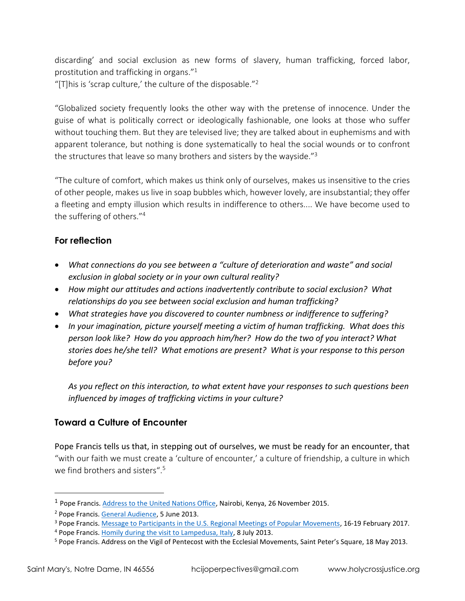discarding' and social exclusion as new forms of slavery, human trafficking, forced labor, prostitution and trafficking in organs." $^1$ "[T] his is 'scrap culture,' the culture of the disposable."<sup>2</sup>

"Globalized society frequently looks the other way with the pretense of innocence. Under the guise of what is politically correct or ideologically fashionable, one looks at those who suffer without touching them. But they are televised live; they are talked about in euphemisms and with apparent tolerance, but nothing is done systematically to heal the social wounds or to confront the structures that leave so many brothers and sisters by the wayside."<sup>3</sup>

"The culture of comfort, which makes us think only of ourselves, makes us insensitive to the cries of other people, makes us live in soap bubbles which, however lovely, are insubstantial; they offer a fleeting and empty illusion which results in indifference to others.... We have become used to the suffering of others." 4

## **For reflection**

- *What connections do you see between a "culture of deterioration and waste" and social exclusion in global society or in your own cultural reality?*
- *How might our attitudes and actions inadvertently contribute to social exclusion? What relationships do you see between social exclusion and human trafficking?*
- *What strategies have you discovered to counter numbness or indifference to suffering?*
- *In your imagination, picture yourself meeting a victim of human trafficking. What does this person look like? How do you approach him/her? How do the two of you interact? What stories does he/she tell? What emotions are present? What is your response to this person before you?*

*As you reflect on this interaction, to what extent have your responses to such questions been influenced by images of trafficking victims in your culture?*

# **Toward a Culture of Encounter**

Pope Francis tells us that, in stepping out of ourselves, we must be ready for an encounter, that "with our faith we must create a 'culture of encounter,' a culture of friendship, a culture in which we find brothers and sisters". 5

 $\overline{a}$ 

<sup>&</sup>lt;sup>1</sup> Pope Francis. [Address to the United Nations Office,](http://w2.vatican.va/content/francesco/en/speeches/2015/november/documents/papa-francesco_20151126_kenya-unon.html) Nairobi, Kenya, 26 November 2015.

<sup>2</sup> Pope Francis. [General Audience,](https://w2.vatican.va/content/francesco/en/audiences/2013/documents/papa-francesco_20130605_udienza-generale.html) 5 June 2013.

<sup>&</sup>lt;sup>3</sup> Pope Francis. [Message to Participants in the U.S. Regional Meetings of Popular Movements,](http://popularmovements.org/wp-content/uploads/2017/02/POPE-FRANCIS-MESSAGE-TO-USWMPM.pdf) 16-19 February 2017.

<sup>&</sup>lt;sup>4</sup> Pope Francis. [Homily during the visit to Lampedusa, Italy,](https://w2.vatican.va/content/francesco/en/homilies/2013/documents/papa-francesco_20130708_omelia-lampedusa.html) 8 July 2013.

<sup>5</sup> Pope Francis. Address on the Vigil of Pentecost with the Ecclesial Movements, Saint Peter's Square, 18 May 2013.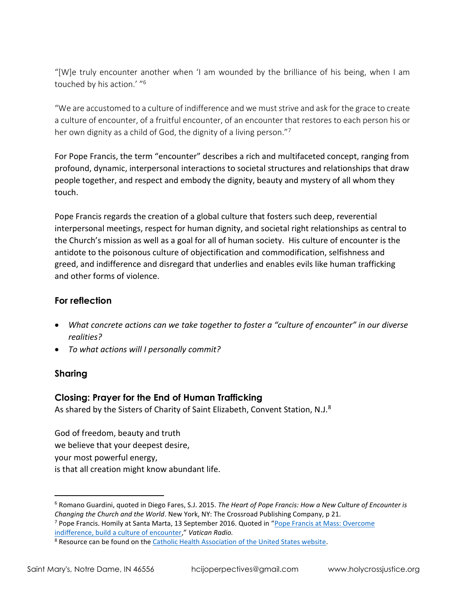"[W]e truly encounter another when 'I am wounded by the brilliance of his being, when I am touched by his action.' "<sup>6</sup>

"We are accustomed to a culture of indifference and we must strive and ask for the grace to create a culture of encounter, of a fruitful encounter, of an encounter that restores to each person his or her own dignity as a child of God, the dignity of a living person."7

For Pope Francis, the term "encounter" describes a rich and multifaceted concept, ranging from profound, dynamic, interpersonal interactions to societal structures and relationships that draw people together, and respect and embody the dignity, beauty and mystery of all whom they touch.

Pope Francis regards the creation of a global culture that fosters such deep, reverential interpersonal meetings, respect for human dignity, and societal right relationships as central to the Church's mission as well as a goal for all of human society. His culture of encounter is the antidote to the poisonous culture of objectification and commodification, selfishness and greed, and indifference and disregard that underlies and enables evils like human trafficking and other forms of violence.

### **For reflection**

- *What concrete actions can we take together to foster a "culture of encounter" in our diverse realities?*
- *To what actions will I personally commit?*

### **Sharing**

 $\overline{a}$ 

## **Closing: Prayer for the End of Human Trafficking**

As shared by the Sisters of Charity of Saint Elizabeth, Convent Station, N.J.<sup>8</sup>

God of freedom, beauty and truth we believe that your deepest desire, your most powerful energy, is that all creation might know abundant life.

<sup>7</sup> Pope Francis. Homily at Santa Marta, 13 September 2016. Quoted in "[Pope Francis at Mass: Overcome](http://en.radiovaticana.va/news/2016/09/13/pope_overcome_indifference,_build_a_culture_of_encounter/1257732)  [indifference, build a culture of encounter](http://en.radiovaticana.va/news/2016/09/13/pope_overcome_indifference,_build_a_culture_of_encounter/1257732)," *Vatican Radio.*

<sup>6</sup> Romano Guardini, quoted in Diego Fares, S.J. 2015. *The Heart of Pope Francis: How a New Culture of Encounter is Changing the Church and the World*. New York, NY: The Crossroad Publishing Company, p 21.

<sup>&</sup>lt;sup>8</sup> Resource can be found on the [Catholic Health Association of the United States website.](https://www.chausa.org/prayers/prayer-library/general-prayers-and-prayer-services/healing-and-health/a-prayer-for-victims-of-human-trafficking)